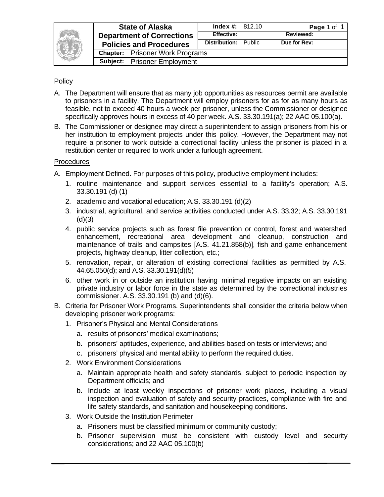

| <b>State of Alaska</b>           |                                        | <b>Index #:</b> $812.10$    |  | Page 1 of 1      |  |
|----------------------------------|----------------------------------------|-----------------------------|--|------------------|--|
| <b>Department of Corrections</b> |                                        | <b>Effective:</b>           |  | <b>Reviewed:</b> |  |
| <b>Policies and Procedures</b>   |                                        | <b>Distribution:</b> Public |  | Due for Rev:     |  |
|                                  | <b>Chapter:</b> Prisoner Work Programs |                             |  |                  |  |
|                                  | <b>Subject:</b> Prisoner Employment    |                             |  |                  |  |
|                                  |                                        |                             |  |                  |  |

## **Policy**

- A. The Department will ensure that as many job opportunities as resources permit are available to prisoners in a facility. The Department will employ prisoners for as for as many hours as feasible, not to exceed 40 hours a week per prisoner, unless the Commissioner or designee specifically approves hours in excess of 40 per week. A.S. 33.30.191(a); 22 AAC 05.100(a).
- B. The Commissioner or designee may direct a superintendent to assign prisoners from his or her institution to employment projects under this policy. However, the Department may not require a prisoner to work outside a correctional facility unless the prisoner is placed in a restitution center or required to work under a furlough agreement.

## **Procedures**

- A. Employment Defined. For purposes of this policy, productive employment includes:
	- 1. routine maintenance and support services essential to a facility's operation; A.S. 33.30.191 (d) (1)
	- 2. academic and vocational education; A.S. 33.30.191 (d)(2)
	- 3. industrial, agricultural, and service activities conducted under A.S. 33.32; A.S. 33.30.191  $(d)(3)$
	- 4. public service projects such as forest file prevention or control, forest and watershed enhancement, recreational area development and cleanup, construction and maintenance of trails and campsites [A.S. 41.21.858(b)], fish and game enhancement projects, highway cleanup, litter collection, etc.;
	- 5. renovation, repair, or alteration of existing correctional facilities as permitted by A.S. 44.65.050(d); and A.S. 33.30.191(d)(5)
	- 6. other work in or outside an institution having minimal negative impacts on an existing private industry or labor force in the state as determined by the correctional industries commissioner. A.S. 33.30.191 (b) and (d)(6).
- B. Criteria for Prisoner Work Programs. Superintendents shall consider the criteria below when developing prisoner work programs:
	- 1. Prisoner's Physical and Mental Considerations
		- a. results of prisoners' medical examinations;
		- b. prisoners' aptitudes, experience, and abilities based on tests or interviews; and
		- c. prisoners' physical and mental ability to perform the required duties.
	- 2. Work Environment Considerations
		- a. Maintain appropriate health and safety standards, subject to periodic inspection by Department officials; and
		- b. Include at least weekly inspections of prisoner work places, including a visual inspection and evaluation of safety and security practices, compliance with fire and life safety standards, and sanitation and housekeeping conditions.
	- 3. Work Outside the Institution Perimeter
		- a. Prisoners must be classified minimum or community custody;
		- b. Prisoner supervision must be consistent with custody level and security considerations; and 22 AAC 05.100(b)